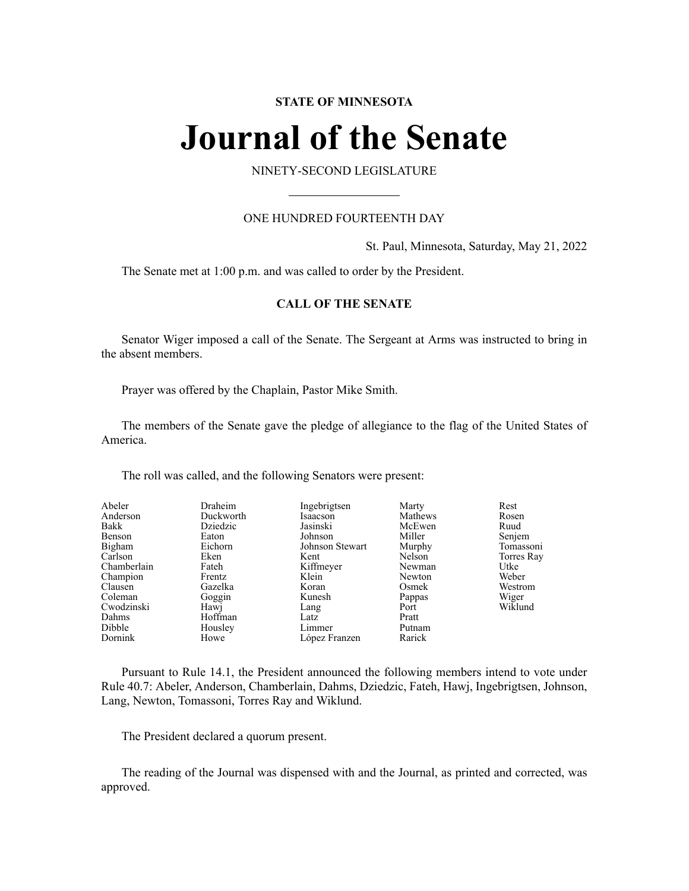## **STATE OF MINNESOTA**

# **Journal of the Senate**

## NINETY-SECOND LEGISLATURE

## ONE HUNDRED FOURTEENTH DAY

St. Paul, Minnesota, Saturday, May 21, 2022

The Senate met at 1:00 p.m. and was called to order by the President.

## **CALL OF THE SENATE**

Senator Wiger imposed a call of the Senate. The Sergeant at Arms was instructed to bring in the absent members.

Prayer was offered by the Chaplain, Pastor Mike Smith.

The members of the Senate gave the pledge of allegiance to the flag of the United States of America.

The roll was called, and the following Senators were present:

| Abeler      | Draheim   | Ingebrigtsen    | Marty   | Rest       |
|-------------|-----------|-----------------|---------|------------|
| Anderson    | Duckworth | Isaacson        | Mathews | Rosen      |
| Bakk        | Dziedzic  | Jasinski        | McEwen  | Ruud       |
| Benson      | Eaton     | Johnson         | Miller  | Senjem     |
| Bigham      | Eichorn   | Johnson Stewart | Murphy  | Tomassoni  |
| Carlson     | Eken      | Kent            | Nelson  | Torres Ray |
| Chamberlain | Fateh     | Kiffmeyer       | Newman  | Utke       |
| Champion    | Frentz    | Klein           | Newton  | Weber      |
| Clausen     | Gazelka   | Koran           | Osmek   | Westrom    |
| Coleman     | Goggin    | Kunesh          | Pappas  | Wiger      |
| Cwodzinski  | Hawj      | Lang            | Port    | Wiklund    |
| Dahms       | Hoffman   | Latz            | Pratt   |            |
| Dibble      | Housley   | Limmer          | Putnam  |            |
| Dornink     | Howe      | López Franzen   | Rarick  |            |

Pursuant to Rule 14.1, the President announced the following members intend to vote under Rule 40.7: Abeler, Anderson, Chamberlain, Dahms, Dziedzic, Fateh, Hawj, Ingebrigtsen, Johnson, Lang, Newton, Tomassoni, Torres Ray and Wiklund.

The President declared a quorum present.

The reading of the Journal was dispensed with and the Journal, as printed and corrected, was approved.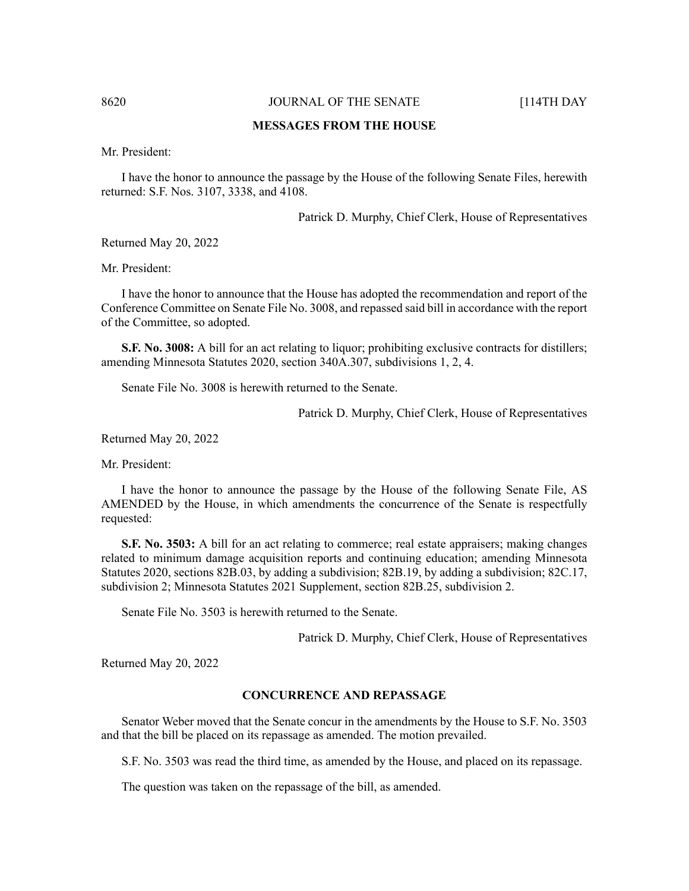## **MESSAGES FROM THE HOUSE**

Mr. President:

I have the honor to announce the passage by the House of the following Senate Files, herewith returned: S.F. Nos. 3107, 3338, and 4108.

Patrick D. Murphy, Chief Clerk, House of Representatives

Returned May 20, 2022

Mr. President:

I have the honor to announce that the House has adopted the recommendation and report of the Conference Committee on Senate File No. 3008, and repassed said bill in accordance with the report of the Committee, so adopted.

**S.F. No. 3008:** A bill for an act relating to liquor; prohibiting exclusive contracts for distillers; amending Minnesota Statutes 2020, section 340A.307, subdivisions 1, 2, 4.

Senate File No. 3008 is herewith returned to the Senate.

Patrick D. Murphy, Chief Clerk, House of Representatives

Returned May 20, 2022

Mr. President:

I have the honor to announce the passage by the House of the following Senate File, AS AMENDED by the House, in which amendments the concurrence of the Senate is respectfully requested:

**S.F. No. 3503:** A bill for an act relating to commerce; real estate appraisers; making changes related to minimum damage acquisition reports and continuing education; amending Minnesota Statutes 2020, sections 82B.03, by adding a subdivision; 82B.19, by adding a subdivision; 82C.17, subdivision 2; Minnesota Statutes 2021 Supplement, section 82B.25, subdivision 2.

Senate File No. 3503 is herewith returned to the Senate.

Patrick D. Murphy, Chief Clerk, House of Representatives

Returned May 20, 2022

## **CONCURRENCE AND REPASSAGE**

Senator Weber moved that the Senate concur in the amendments by the House to S.F. No. 3503 and that the bill be placed on its repassage as amended. The motion prevailed.

S.F. No. 3503 was read the third time, as amended by the House, and placed on its repassage.

The question was taken on the repassage of the bill, as amended.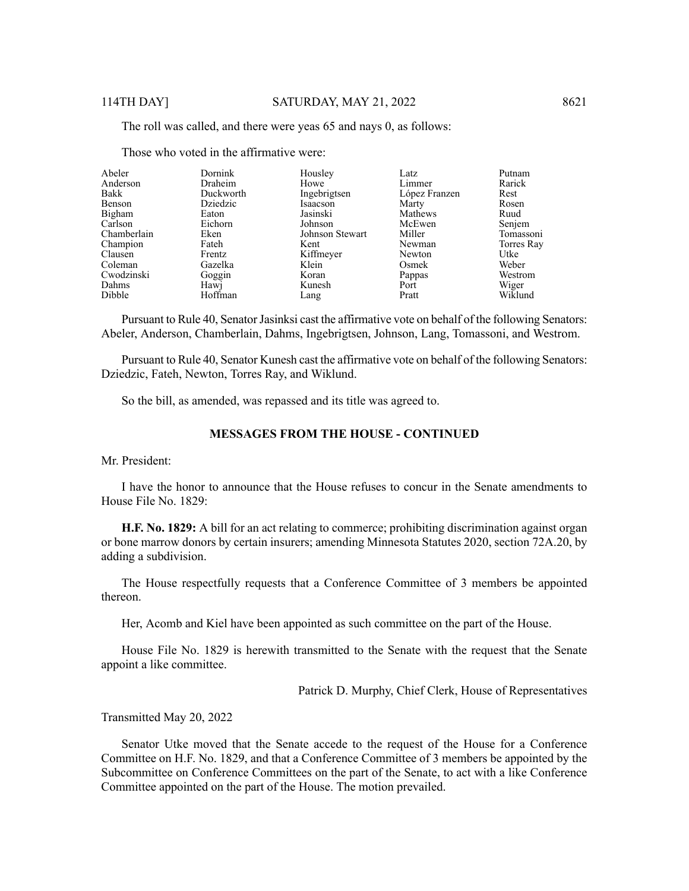The roll was called, and there were yeas 65 and nays 0, as follows:

| Dornink   | Housley         | Latz          | Putnam           |
|-----------|-----------------|---------------|------------------|
| Draheim   | Howe            |               | Rarick           |
| Duckworth | Ingebrigtsen    | López Franzen | Rest             |
| Dziedzic  | Isaacson        | Marty         | Rosen            |
| Eaton     | Jasinski        | Mathews       | Ruud             |
| Eichorn   | Johnson         | McEwen        | Senjem           |
| Eken      | Johnson Stewart | Miller        | Tomassoni        |
| Fateh     | Kent            | Newman        | Torres Ray       |
| Frentz    |                 |               | Utke             |
| Gazelka   | Klein           | Osmek         | Weber            |
| Goggin    | Koran           | Pappas        | Westrom          |
| Hawj      | Kunesh          | Port          | Wiger            |
| Hoffman   | Lang            | Pratt         | Wiklund          |
|           |                 | Kiffmeyer     | Limmer<br>Newton |

Those who voted in the affirmative were:

Pursuant to Rule 40, Senator Jasinksi cast the affirmative vote on behalf of the following Senators: Abeler, Anderson, Chamberlain, Dahms, Ingebrigtsen, Johnson, Lang, Tomassoni, and Westrom.

Pursuant to Rule 40, Senator Kunesh cast the affirmative vote on behalf of the following Senators: Dziedzic, Fateh, Newton, Torres Ray, and Wiklund.

So the bill, as amended, was repassed and its title was agreed to.

## **MESSAGES FROM THE HOUSE - CONTINUED**

Mr. President:

I have the honor to announce that the House refuses to concur in the Senate amendments to House File No. 1829:

**H.F. No. 1829:** A bill for an act relating to commerce; prohibiting discrimination against organ or bone marrow donors by certain insurers; amending Minnesota Statutes 2020, section 72A.20, by adding a subdivision.

The House respectfully requests that a Conference Committee of 3 members be appointed thereon.

Her, Acomb and Kiel have been appointed as such committee on the part of the House.

House File No. 1829 is herewith transmitted to the Senate with the request that the Senate appoint a like committee.

Patrick D. Murphy, Chief Clerk, House of Representatives

Transmitted May 20, 2022

Senator Utke moved that the Senate accede to the request of the House for a Conference Committee on H.F. No. 1829, and that a Conference Committee of 3 members be appointed by the Subcommittee on Conference Committees on the part of the Senate, to act with a like Conference Committee appointed on the part of the House. The motion prevailed.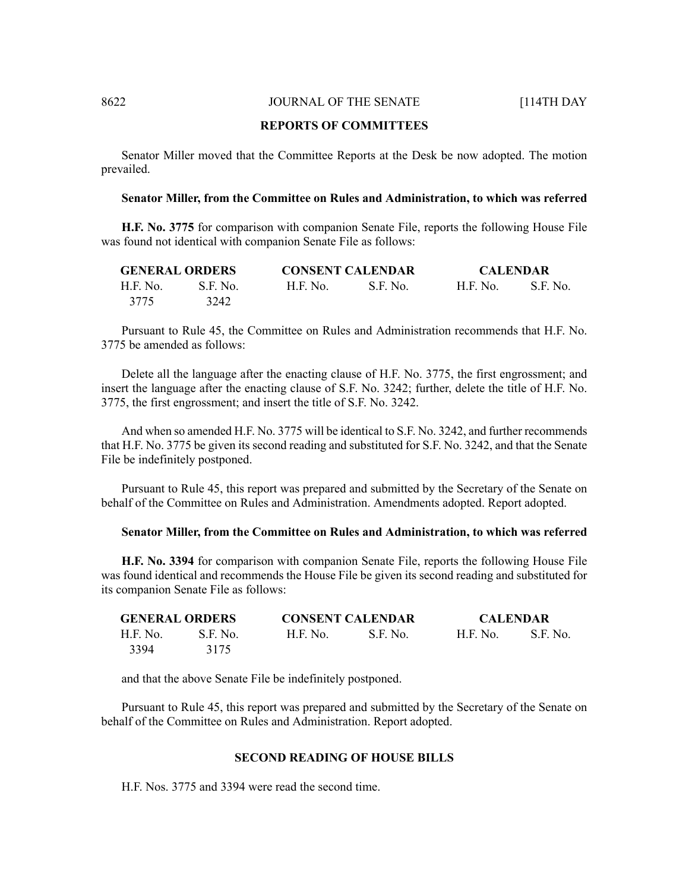### **REPORTS OF COMMITTEES**

Senator Miller moved that the Committee Reports at the Desk be now adopted. The motion prevailed.

#### **Senator Miller, from the Committee on Rules and Administration, to which was referred**

**H.F. No. 3775** for comparison with companion Senate File, reports the following House File was found not identical with companion Senate File as follows:

| <b>GENERAL ORDERS</b> |          | <b>CONSENT CALENDAR</b> |          | <b>CALENDAR</b> |          |
|-----------------------|----------|-------------------------|----------|-----------------|----------|
| H.F. No.              | S.F. No. | H.F. No.                | S.F. No. | <b>H.F. No.</b> | S.F. No. |
| 3775                  | 3242     |                         |          |                 |          |

Pursuant to Rule 45, the Committee on Rules and Administration recommends that H.F. No. 3775 be amended as follows:

Delete all the language after the enacting clause of H.F. No. 3775, the first engrossment; and insert the language after the enacting clause of S.F. No. 3242; further, delete the title of H.F. No. 3775, the first engrossment; and insert the title of S.F. No. 3242.

And when so amended H.F. No. 3775 will be identical to S.F. No. 3242, and further recommends that H.F. No. 3775 be given its second reading and substituted for S.F. No. 3242, and that the Senate File be indefinitely postponed.

Pursuant to Rule 45, this report was prepared and submitted by the Secretary of the Senate on behalf of the Committee on Rules and Administration. Amendments adopted. Report adopted.

#### **Senator Miller, from the Committee on Rules and Administration, to which was referred**

**H.F. No. 3394** for comparison with companion Senate File, reports the following House File was found identical and recommends the House File be given its second reading and substituted for its companion Senate File as follows:

| <b>GENERAL ORDERS</b> |          | <b>CONSENT CALENDAR</b> |            | <b>CALENDAR</b> |          |
|-----------------------|----------|-------------------------|------------|-----------------|----------|
| H.F. No.              | S.F. No. | <b>H.F. No.</b>         | - S.F. No. | H.F. No.        | S.F. No. |
| 3394                  | 3175     |                         |            |                 |          |

and that the above Senate File be indefinitely postponed.

Pursuant to Rule 45, this report was prepared and submitted by the Secretary of the Senate on behalf of the Committee on Rules and Administration. Report adopted.

#### **SECOND READING OF HOUSE BILLS**

H.F. Nos. 3775 and 3394 were read the second time.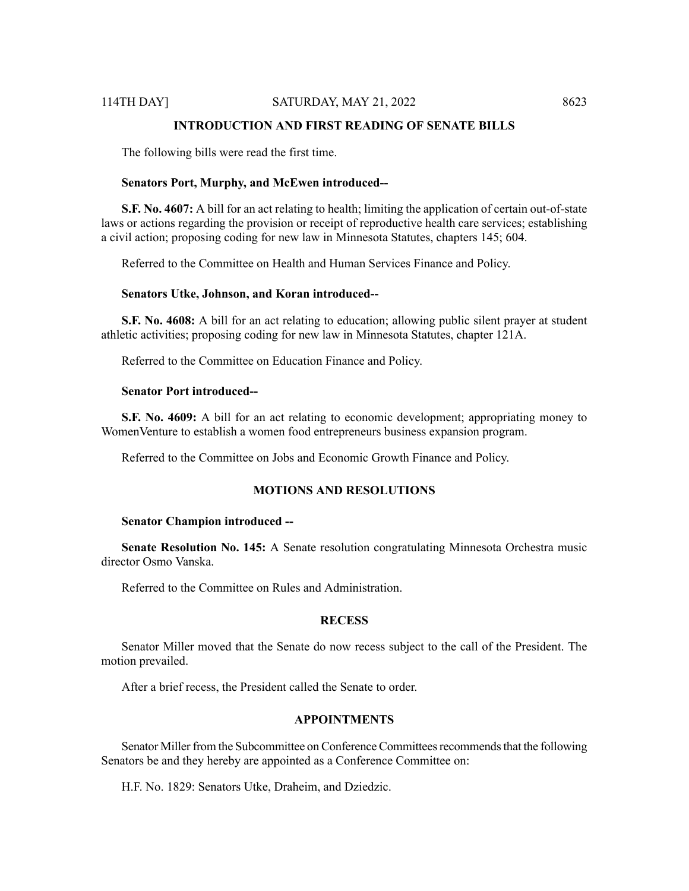## **INTRODUCTION AND FIRST READING OF SENATE BILLS**

The following bills were read the first time.

#### **Senators Port, Murphy, and McEwen introduced--**

**S.F. No. 4607:** A bill for an act relating to health; limiting the application of certain out-of-state laws or actions regarding the provision or receipt of reproductive health care services; establishing a civil action; proposing coding for new law in Minnesota Statutes, chapters 145; 604.

Referred to the Committee on Health and Human Services Finance and Policy.

#### **Senators Utke, Johnson, and Koran introduced--**

**S.F. No. 4608:** A bill for an act relating to education; allowing public silent prayer at student athletic activities; proposing coding for new law in Minnesota Statutes, chapter 121A.

Referred to the Committee on Education Finance and Policy.

## **Senator Port introduced--**

**S.F. No. 4609:** A bill for an act relating to economic development; appropriating money to WomenVenture to establish a women food entrepreneurs business expansion program.

Referred to the Committee on Jobs and Economic Growth Finance and Policy.

## **MOTIONS AND RESOLUTIONS**

#### **Senator Champion introduced --**

**Senate Resolution No. 145:** A Senate resolution congratulating Minnesota Orchestra music director Osmo Vanska.

Referred to the Committee on Rules and Administration.

## **RECESS**

Senator Miller moved that the Senate do now recess subject to the call of the President. The motion prevailed.

After a brief recess, the President called the Senate to order.

#### **APPOINTMENTS**

Senator Miller from the Subcommittee on Conference Committees recommends that the following Senators be and they hereby are appointed as a Conference Committee on:

H.F. No. 1829: Senators Utke, Draheim, and Dziedzic.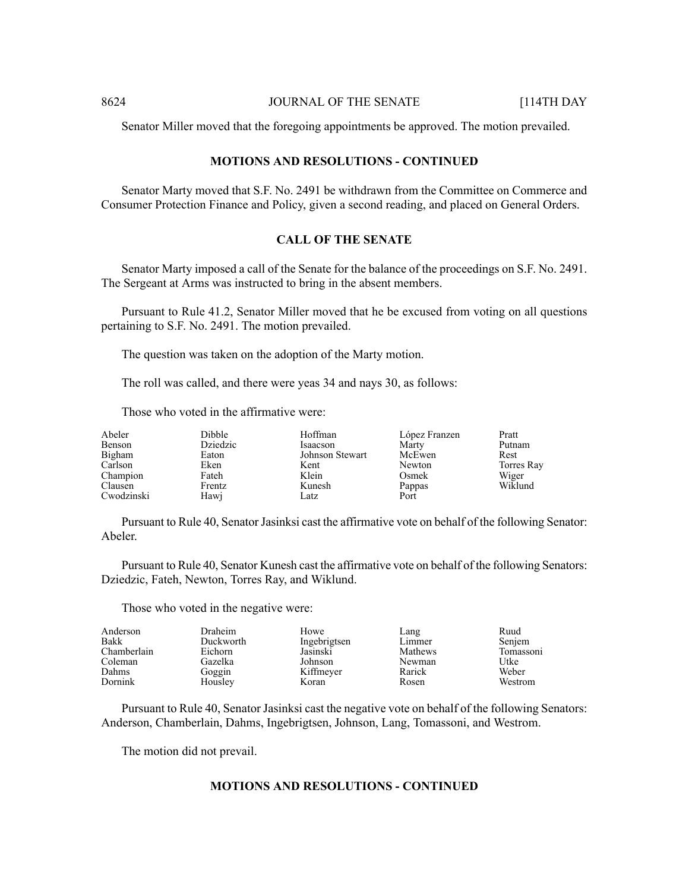Senator Miller moved that the foregoing appointments be approved. The motion prevailed.

## **MOTIONS AND RESOLUTIONS - CONTINUED**

Senator Marty moved that S.F. No. 2491 be withdrawn from the Committee on Commerce and Consumer Protection Finance and Policy, given a second reading, and placed on General Orders.

## **CALL OF THE SENATE**

Senator Marty imposed a call of the Senate for the balance of the proceedings on S.F. No. 2491. The Sergeant at Arms was instructed to bring in the absent members.

Pursuant to Rule 41.2, Senator Miller moved that he be excused from voting on all questions pertaining to S.F. No. 2491. The motion prevailed.

The question was taken on the adoption of the Marty motion.

The roll was called, and there were yeas 34 and nays 30, as follows:

Those who voted in the affirmative were:

| Abeler     | <b>Dibble</b> | Hoffman         | López Franzen | Pratt      |
|------------|---------------|-----------------|---------------|------------|
| Benson     | Dziedzic      | Isaacson        | Marty         | Putnam     |
| Bigham     | Eaton         | Johnson Stewart | McEwen        | Rest       |
| Carlson    | Eken          | Kent            | Newton        | Torres Ray |
| Champion   | Fateh         | Klein           | Osmek         | Wiger      |
| Clausen    | Frentz        | Kunesh          | Pappas        | Wiklund    |
| Cwodzinski | Hawj          | Latz            | Port          |            |

Pursuant to Rule 40, Senator Jasinksi cast the affirmative vote on behalf of the following Senator: Abeler.

Pursuant to Rule 40, Senator Kunesh cast the affirmative vote on behalf of the following Senators: Dziedzic, Fateh, Newton, Torres Ray, and Wiklund.

Those who voted in the negative were:

| Anderson    | Draheim   | Howe         | Lang    | Ruud      |
|-------------|-----------|--------------|---------|-----------|
| Bakk        | Duckworth | Ingebrigtsen | Limmer  | Senjem    |
| Chamberlain | Eichorn   | Jasinski     | Mathews | Tomassoni |
| Coleman     | Gazelka   | Johnson      | Newman  | Utke      |
| Dahms       | Goggin    | Kiffmeyer    | Rarick  | Weber     |
| Dornink     | Housley   | Koran        | Rosen   | Westrom   |

Pursuant to Rule 40, Senator Jasinksi cast the negative vote on behalf of the following Senators: Anderson, Chamberlain, Dahms, Ingebrigtsen, Johnson, Lang, Tomassoni, and Westrom.

The motion did not prevail.

## **MOTIONS AND RESOLUTIONS - CONTINUED**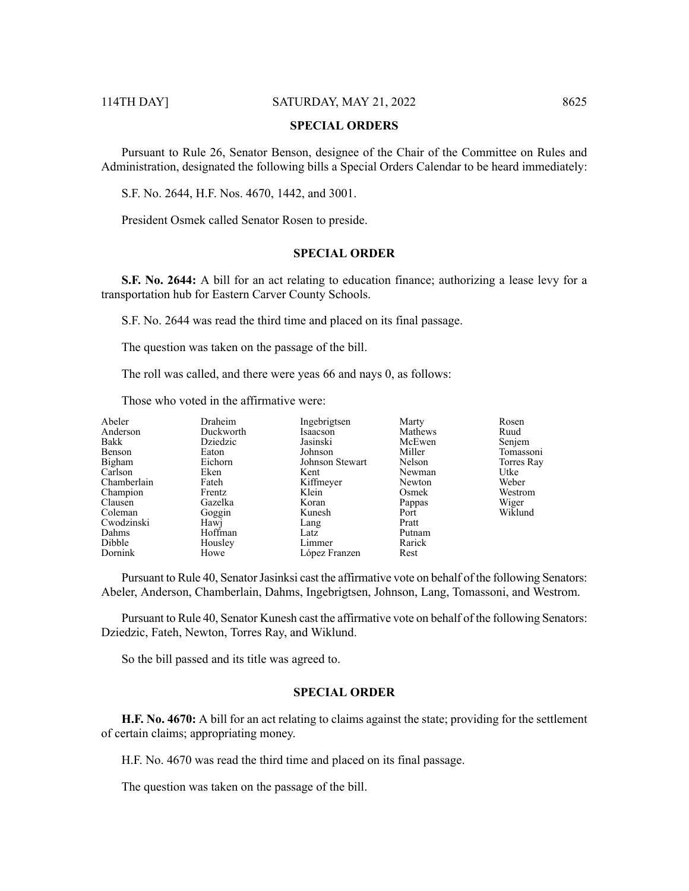## **SPECIAL ORDERS**

Pursuant to Rule 26, Senator Benson, designee of the Chair of the Committee on Rules and Administration, designated the following bills a Special Orders Calendar to be heard immediately:

S.F. No. 2644, H.F. Nos. 4670, 1442, and 3001.

President Osmek called Senator Rosen to preside.

## **SPECIAL ORDER**

**S.F. No. 2644:** A bill for an act relating to education finance; authorizing a lease levy for a transportation hub for Eastern Carver County Schools.

S.F. No. 2644 was read the third time and placed on its final passage.

The question was taken on the passage of the bill.

The roll was called, and there were yeas 66 and nays 0, as follows:

Those who voted in the affirmative were:

| Abeler<br>Anderson<br>Bakk | Draheim<br>Duckworth<br>Dziedzic | Ingebrigtsen<br>Isaacson<br>Jasinski | Marty<br>Mathews<br>McEwen | Rosen<br>Ruud<br>Senjem |
|----------------------------|----------------------------------|--------------------------------------|----------------------------|-------------------------|
| Benson                     | Eaton                            | Johnson                              | Miller                     | Tomassoni               |
| Bigham                     | Eichorn                          | Johnson Stewart                      | Nelson                     | Torres Ray              |
| Carlson                    | Eken                             | Kent                                 | Newman                     | Utke                    |
| Chamberlain                | Fateh                            | Kiffmeyer                            | Newton                     | Weber                   |
| Champion                   | Frentz                           | Klein                                | Osmek                      | Westrom                 |
| Clausen                    | Gazelka                          | Koran                                | Pappas                     | Wiger                   |
| Coleman                    | Goggin                           | Kunesh                               | Port                       | Wiklund                 |
| Cwodzinski                 | Hawj                             | Lang                                 | Pratt                      |                         |
| Dahms                      | Hoffman                          | Latz                                 | Putnam                     |                         |
| Dibble                     | Housley                          | Limmer                               | Rarick                     |                         |
| Dornink                    | Howe                             | López Franzen                        | Rest                       |                         |

Pursuant to Rule 40, Senator Jasinksi cast the affirmative vote on behalf of the following Senators: Abeler, Anderson, Chamberlain, Dahms, Ingebrigtsen, Johnson, Lang, Tomassoni, and Westrom.

Pursuant to Rule 40, Senator Kunesh cast the affirmative vote on behalf of the following Senators: Dziedzic, Fateh, Newton, Torres Ray, and Wiklund.

So the bill passed and its title was agreed to.

## **SPECIAL ORDER**

**H.F. No. 4670:** A bill for an act relating to claims against the state; providing for the settlement of certain claims; appropriating money.

H.F. No. 4670 was read the third time and placed on its final passage.

The question was taken on the passage of the bill.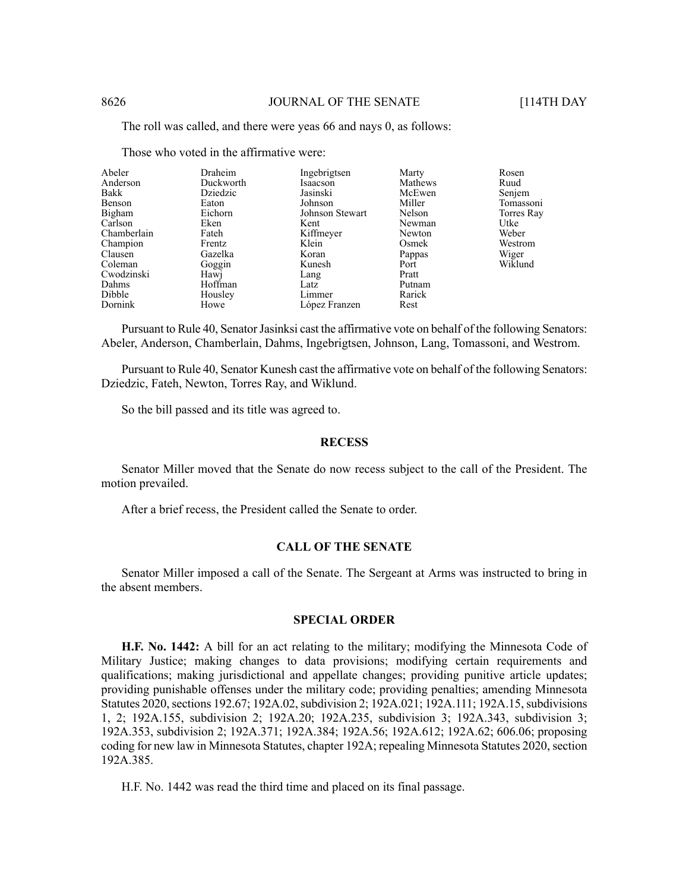The roll was called, and there were yeas 66 and nays 0, as follows:

| Draheim   | Ingebrigtsen    | Marty   | Rosen      |
|-----------|-----------------|---------|------------|
| Duckworth | Isaacson        | Mathews | Ruud       |
| Dziedzic  | Jasinski        | McEwen  | Senjem     |
| Eaton     | Johnson         | Miller  | Tomassoni  |
| Eichorn   | Johnson Stewart | Nelson  | Torres Ray |
| Eken      | Kent            | Newman  | Utke       |
| Fateh     | Kiffmeyer       | Newton  | Weber      |
| Frentz    | Klein           | Osmek   | Westrom    |
| Gazelka   |                 | Pappas  | Wiger      |
|           | Kunesh          | Port    | Wiklund    |
| Hawj      | Lang            | Pratt   |            |
| Hoffman   | Latz            | Putnam  |            |
| Housley   | Limmer          | Rarick  |            |
| Howe      | López Franzen   | Rest    |            |
|           | Goggin          | Koran   |            |

Those who voted in the affirmative were:

Pursuant to Rule 40, Senator Jasinksi cast the affirmative vote on behalf of the following Senators: Abeler, Anderson, Chamberlain, Dahms, Ingebrigtsen, Johnson, Lang, Tomassoni, and Westrom.

Pursuant to Rule 40, Senator Kunesh cast the affirmative vote on behalf of the following Senators: Dziedzic, Fateh, Newton, Torres Ray, and Wiklund.

So the bill passed and its title was agreed to.

#### **RECESS**

Senator Miller moved that the Senate do now recess subject to the call of the President. The motion prevailed.

After a brief recess, the President called the Senate to order.

#### **CALL OF THE SENATE**

Senator Miller imposed a call of the Senate. The Sergeant at Arms was instructed to bring in the absent members.

#### **SPECIAL ORDER**

**H.F. No. 1442:** A bill for an act relating to the military; modifying the Minnesota Code of Military Justice; making changes to data provisions; modifying certain requirements and qualifications; making jurisdictional and appellate changes; providing punitive article updates; providing punishable offenses under the military code; providing penalties; amending Minnesota Statutes 2020, sections 192.67; 192A.02, subdivision 2; 192A.021; 192A.111; 192A.15, subdivisions 1, 2; 192A.155, subdivision 2; 192A.20; 192A.235, subdivision 3; 192A.343, subdivision 3; 192A.353, subdivision 2; 192A.371; 192A.384; 192A.56; 192A.612; 192A.62; 606.06; proposing coding for new law in Minnesota Statutes, chapter 192A; repealing Minnesota Statutes 2020, section 192A.385.

H.F. No. 1442 was read the third time and placed on its final passage.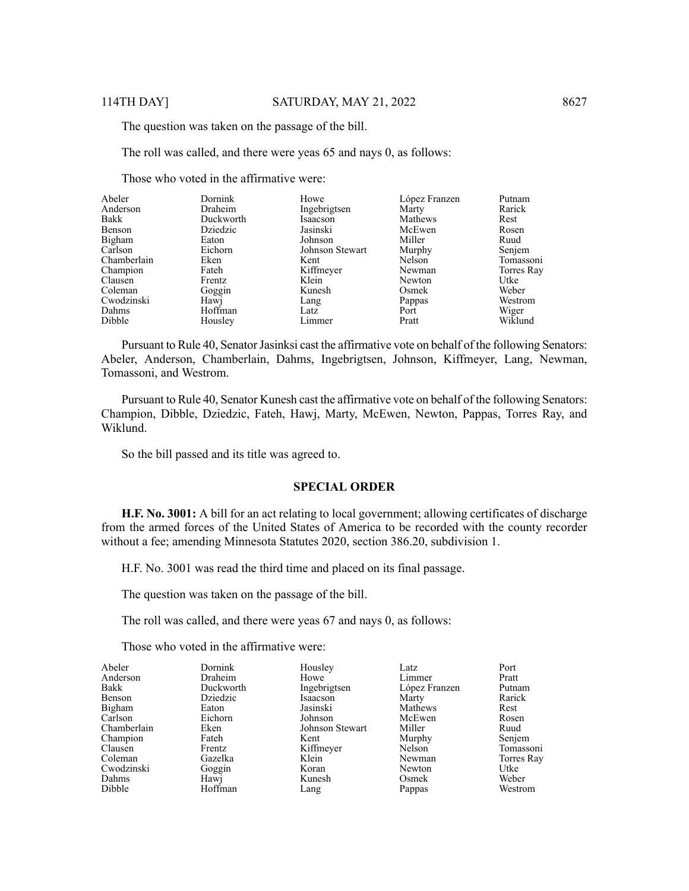The question was taken on the passage of the bill.

The roll was called, and there were yeas 65 and nays 0, as follows:

Those who voted in the affirmative were:

| Abeler      | Dornink   | Howe            | López Franzen | Putnam     |
|-------------|-----------|-----------------|---------------|------------|
| Anderson    | Draheim   | Ingebrigtsen    | Marty         | Rarick     |
| Bakk        | Duckworth | Isaacson        | Mathews       | Rest       |
| Benson      | Dziedzic  | Jasinski        | McEwen        | Rosen      |
| Bigham      | Eaton     | Johnson         | Miller        | Ruud       |
| Carlson     | Eichorn   | Johnson Stewart | Murphy        | Senjem     |
| Chamberlain | Eken      | Kent            | Nelson        | Tomassoni  |
| Champion    | Fateh     | Kiffmeyer       | Newman        | Torres Ray |
| Clausen     | Frentz    | Klein           | Newton        | Utke       |
| Coleman     | Goggin    | Kunesh          | Osmek         | Weber      |
| Cwodzinski  | Hawj      | Lang            | Pappas        | Westrom    |
| Dahms       | Hoffman   | Latz            | Port          | Wiger      |
| Dibble      | Housley   | Limmer          | Pratt         | Wiklund    |

Pursuant to Rule 40, Senator Jasinksi cast the affirmative vote on behalf of the following Senators: Abeler, Anderson, Chamberlain, Dahms, Ingebrigtsen, Johnson, Kiffmeyer, Lang, Newman, Tomassoni, and Westrom.

Pursuant to Rule 40, Senator Kunesh cast the affirmative vote on behalf of the following Senators: Champion, Dibble, Dziedzic, Fateh, Hawj, Marty, McEwen, Newton, Pappas, Torres Ray, and Wiklund.

So the bill passed and its title was agreed to.

#### **SPECIAL ORDER**

**H.F. No. 3001:** A bill for an act relating to local government; allowing certificates of discharge from the armed forces of the United States of America to be recorded with the county recorder without a fee; amending Minnesota Statutes 2020, section 386.20, subdivision 1.

H.F. No. 3001 was read the third time and placed on its final passage.

The question was taken on the passage of the bill.

The roll was called, and there were yeas 67 and nays 0, as follows:

Those who voted in the affirmative were:

| Dornink   | Housley         | Latz          | Port       |
|-----------|-----------------|---------------|------------|
| Draheim   | Howe            |               | Pratt      |
| Duckworth | Ingebrigtsen    | López Franzen | Putnam     |
| Dziedzic  | Isaacson        | Marty         | Rarick     |
| Eaton     | Jasinski        | Mathews       | Rest       |
| Eichorn   | Johnson         | McEwen        | Rosen      |
| Eken      | Johnson Stewart | Miller        | Ruud       |
| Fateh     | Kent            | Murphy        | Senjem     |
| Frentz    |                 | Nelson        | Tomassoni  |
| Gazelka   | Klein           | Newman        | Torres Ray |
|           | Koran           | Newton        | Utke       |
|           | Kunesh          | Osmek         | Weber      |
| Hoffman   | Lang            | Pappas        | Westrom    |
|           | Goggin<br>Hawj  | Kiffmeyer     | Limmer     |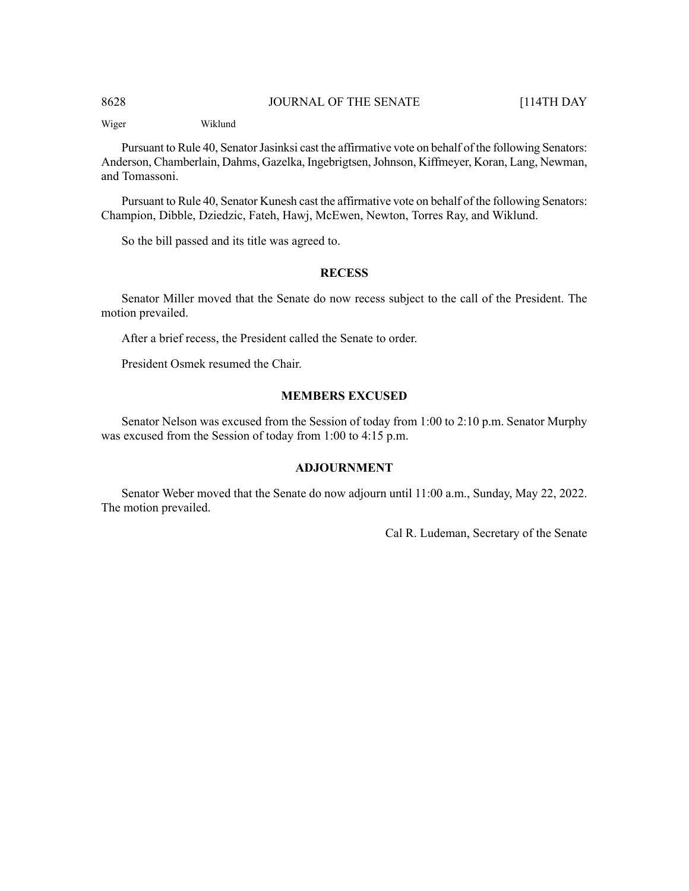Wiger Wiklund

Pursuant to Rule 40, Senator Jasinksi cast the affirmative vote on behalf of the following Senators: Anderson, Chamberlain, Dahms, Gazelka, Ingebrigtsen,Johnson, Kiffmeyer, Koran, Lang, Newman, and Tomassoni.

Pursuant to Rule 40, Senator Kunesh cast the affirmative vote on behalf of the following Senators: Champion, Dibble, Dziedzic, Fateh, Hawj, McEwen, Newton, Torres Ray, and Wiklund.

So the bill passed and its title was agreed to.

## **RECESS**

Senator Miller moved that the Senate do now recess subject to the call of the President. The motion prevailed.

After a brief recess, the President called the Senate to order.

President Osmek resumed the Chair.

## **MEMBERS EXCUSED**

Senator Nelson was excused from the Session of today from 1:00 to 2:10 p.m. Senator Murphy was excused from the Session of today from 1:00 to 4:15 p.m.

## **ADJOURNMENT**

Senator Weber moved that the Senate do now adjourn until 11:00 a.m., Sunday, May 22, 2022. The motion prevailed.

Cal R. Ludeman, Secretary of the Senate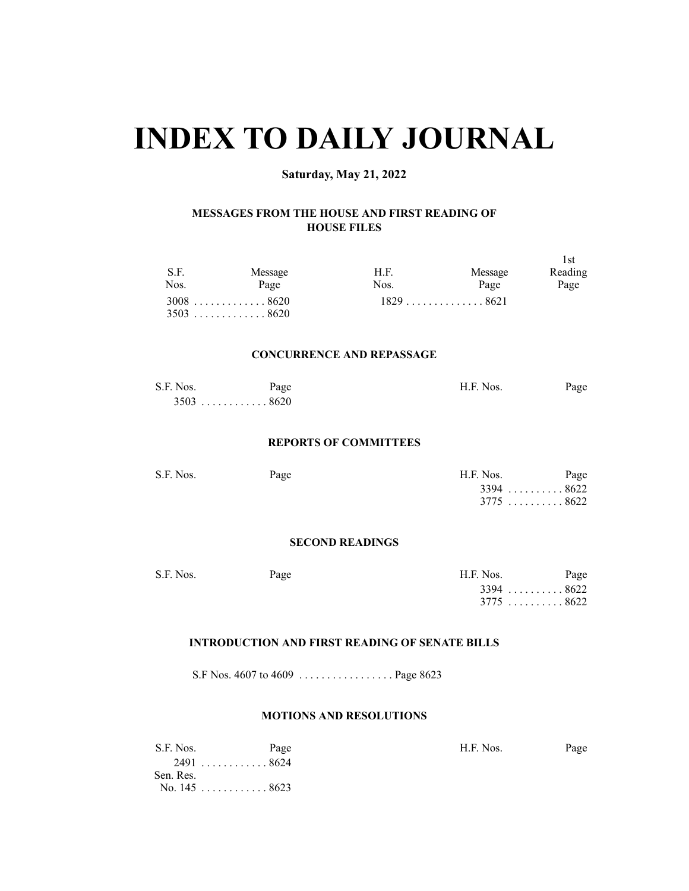## **INDEX TO DAILY JOURNAL**

## **Saturday, May 21, 2022**

## **MESSAGES FROM THE HOUSE AND FIRST READING OF HOUSE FILES**

| S.F.<br>Nos. | Message<br>Page            | H.F.<br>Nos. | Message<br>Page | 1st<br>Reading<br>Page |
|--------------|----------------------------|--------------|-----------------|------------------------|
|              | $3008$ 8620<br>$3503$ 8620 |              | $1829$ 8621     |                        |

## **CONCURRENCE AND REPASSAGE**

| S.F. Nos. | Page        | H.F. Nos. | Page |
|-----------|-------------|-----------|------|
|           | $3503$ 8620 |           |      |

#### **REPORTS OF COMMITTEES**

| S.F. Nos. | Page | H.F. Nos.   | Page |
|-----------|------|-------------|------|
|           |      | $3394$ 8622 |      |
|           |      | $3775$ 8622 |      |

#### **SECOND READINGS**

| S.F. Nos. | Page | H.F. Nos.   | Page |
|-----------|------|-------------|------|
|           |      | $3394$ 8622 |      |
|           |      | $3775$ 8622 |      |

## **INTRODUCTION AND FIRST READING OF SENATE BILLS**

S.F Nos. 4607 to 4609 . . . . . . . . . . . . . . . . . Page 8623

## **MOTIONS AND RESOLUTIONS**

| S.F. Nos.      | Page      | H.F. Nos. | Page |
|----------------|-----------|-----------|------|
|                | 2491 8624 |           |      |
| Sen. Res.      |           |           |      |
| No. $145$ 8623 |           |           |      |